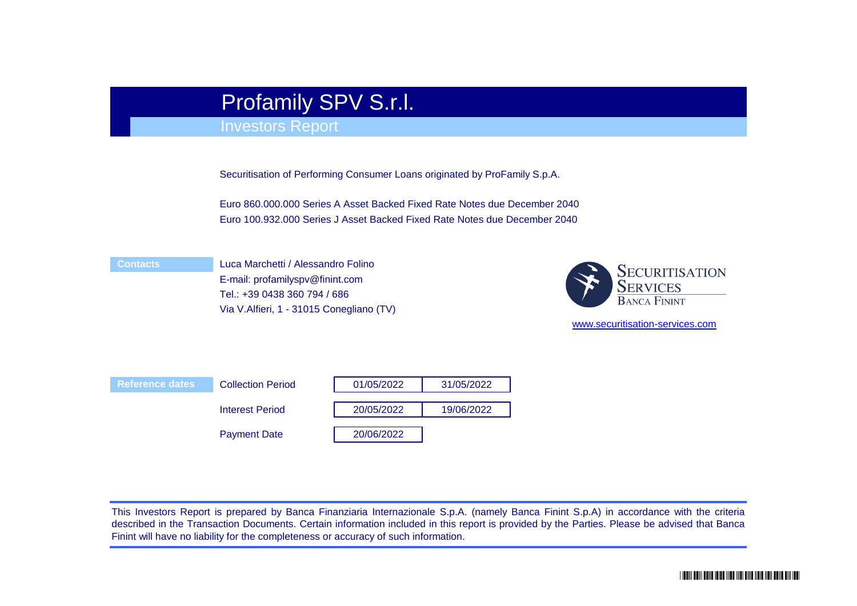# Profamily SPV S.r.l.

# Investors Report

Securitisation of Performing Consumer Loans originated by ProFamily S.p.A.

Euro 860.000.000 Series A Asset Backed Fixed Rate Notes due December 2040 Euro 100.932.000 Series J Asset Backed Fixed Rate Notes due December 2040

#### **Contacts**

Luca Marchetti / Alessandro Folino E-mail: profamilyspv@finint.com Tel.: +39 0438 360 794 / 686 Via V.Alfieri, 1 - 31015 Conegliano (TV)



[www.securitisation-](http://www.securitisation-services.com/)services.com

| <b>Reference dates</b> | <b>Collection Period</b> | 01/05/2022 | 31/05/2022 |
|------------------------|--------------------------|------------|------------|
|                        | <b>Interest Period</b>   | 20/05/2022 | 19/06/2022 |
|                        | <b>Payment Date</b>      | 20/06/2022 |            |

This Investors Report is prepared by Banca Finanziaria Internazionale S.p.A. (namely Banca Finint S.p.A) in accordance with the criteria described in the Transaction Documents. Certain information included in this report is provided by the Parties. Please be advised that Banca Finint will have no liability for the completeness or accuracy of such information.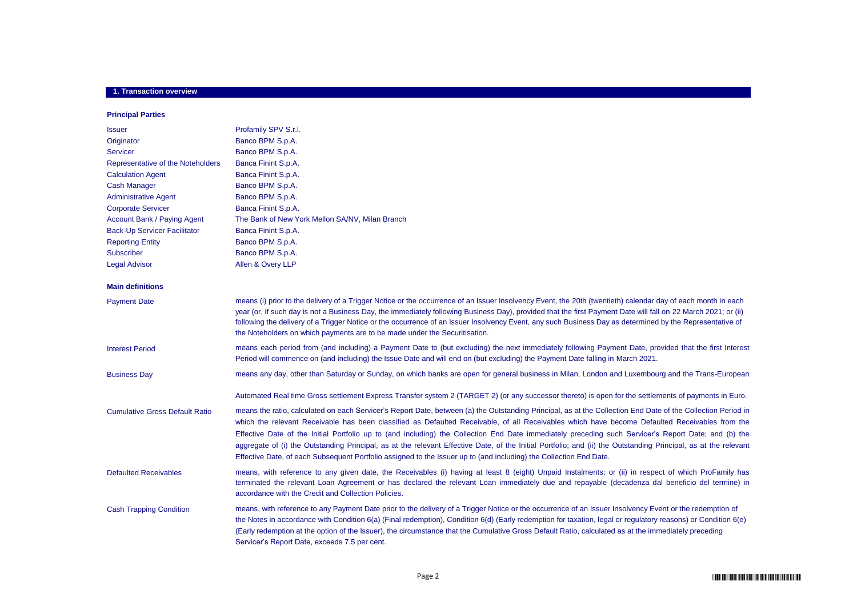#### **1. Transaction overview**

#### **Principal Parties**

| <b>Issuer</b>                         | Profamily SPV S.r.l.                                                                                                                                                                                                                                                                                                                                                                                                                                                                                                                                                                                                                                                                                                                                            |
|---------------------------------------|-----------------------------------------------------------------------------------------------------------------------------------------------------------------------------------------------------------------------------------------------------------------------------------------------------------------------------------------------------------------------------------------------------------------------------------------------------------------------------------------------------------------------------------------------------------------------------------------------------------------------------------------------------------------------------------------------------------------------------------------------------------------|
| Originator                            | Banco BPM S.p.A.                                                                                                                                                                                                                                                                                                                                                                                                                                                                                                                                                                                                                                                                                                                                                |
| <b>Servicer</b>                       | Banco BPM S.p.A.                                                                                                                                                                                                                                                                                                                                                                                                                                                                                                                                                                                                                                                                                                                                                |
| Representative of the Noteholders     | Banca Finint S.p.A.                                                                                                                                                                                                                                                                                                                                                                                                                                                                                                                                                                                                                                                                                                                                             |
| <b>Calculation Agent</b>              | Banca Finint S.p.A.                                                                                                                                                                                                                                                                                                                                                                                                                                                                                                                                                                                                                                                                                                                                             |
| <b>Cash Manager</b>                   | Banco BPM S.p.A.                                                                                                                                                                                                                                                                                                                                                                                                                                                                                                                                                                                                                                                                                                                                                |
| <b>Administrative Agent</b>           | Banco BPM S.p.A.                                                                                                                                                                                                                                                                                                                                                                                                                                                                                                                                                                                                                                                                                                                                                |
| <b>Corporate Servicer</b>             | Banca Finint S.p.A.                                                                                                                                                                                                                                                                                                                                                                                                                                                                                                                                                                                                                                                                                                                                             |
| <b>Account Bank / Paying Agent</b>    | The Bank of New York Mellon SA/NV, Milan Branch                                                                                                                                                                                                                                                                                                                                                                                                                                                                                                                                                                                                                                                                                                                 |
| <b>Back-Up Servicer Facilitator</b>   | Banca Finint S.p.A.                                                                                                                                                                                                                                                                                                                                                                                                                                                                                                                                                                                                                                                                                                                                             |
| <b>Reporting Entity</b>               | Banco BPM S.p.A.                                                                                                                                                                                                                                                                                                                                                                                                                                                                                                                                                                                                                                                                                                                                                |
| <b>Subscriber</b>                     | Banco BPM S.p.A.                                                                                                                                                                                                                                                                                                                                                                                                                                                                                                                                                                                                                                                                                                                                                |
| <b>Legal Advisor</b>                  | Allen & Overy LLP                                                                                                                                                                                                                                                                                                                                                                                                                                                                                                                                                                                                                                                                                                                                               |
| <b>Main definitions</b>               |                                                                                                                                                                                                                                                                                                                                                                                                                                                                                                                                                                                                                                                                                                                                                                 |
| <b>Payment Date</b>                   | means (i) prior to the delivery of a Trigger Notice or the occurrence of an Issuer Insolvency Event, the 20th (twentieth) calendar day of each month in each<br>year (or, if such day is not a Business Day, the immediately following Business Day), provided that the first Payment Date will fall on 22 March 2021; or (ii)<br>following the delivery of a Trigger Notice or the occurrence of an Issuer Insolvency Event, any such Business Day as determined by the Representative of<br>the Noteholders on which payments are to be made under the Securitisation.                                                                                                                                                                                        |
| <b>Interest Period</b>                | means each period from (and including) a Payment Date to (but excluding) the next immediately following Payment Date, provided that the first Interest<br>Period will commence on (and including) the Issue Date and will end on (but excluding) the Payment Date falling in March 2021.                                                                                                                                                                                                                                                                                                                                                                                                                                                                        |
| <b>Business Day</b>                   | means any day, other than Saturday or Sunday, on which banks are open for general business in Milan, London and Luxembourg and the Trans-European                                                                                                                                                                                                                                                                                                                                                                                                                                                                                                                                                                                                               |
|                                       | Automated Real time Gross settlement Express Transfer system 2 (TARGET 2) (or any successor thereto) is open for the settlements of payments in Euro.                                                                                                                                                                                                                                                                                                                                                                                                                                                                                                                                                                                                           |
| <b>Cumulative Gross Default Ratio</b> | means the ratio, calculated on each Servicer's Report Date, between (a) the Outstanding Principal, as at the Collection End Date of the Collection Period in<br>which the relevant Receivable has been classified as Defaulted Receivable, of all Receivables which have become Defaulted Receivables from the<br>Effective Date of the Initial Portfolio up to (and including) the Collection End Date immediately preceding such Servicer's Report Date; and (b) the<br>aggregate of (i) the Outstanding Principal, as at the relevant Effective Date, of the Initial Portfolio; and (ii) the Outstanding Principal, as at the relevant<br>Effective Date, of each Subsequent Portfolio assigned to the Issuer up to (and including) the Collection End Date. |
| <b>Defaulted Receivables</b>          | means, with reference to any given date, the Receivables (i) having at least 8 (eight) Unpaid Instalments; or (ii) in respect of which ProFamily has<br>terminated the relevant Loan Agreement or has declared the relevant Loan immediately due and repayable (decadenza dal beneficio del termine) in<br>accordance with the Credit and Collection Policies.                                                                                                                                                                                                                                                                                                                                                                                                  |
| <b>Cash Trapping Condition</b>        | means, with reference to any Payment Date prior to the delivery of a Trigger Notice or the occurrence of an Issuer Insolvency Event or the redemption of<br>the Notes in accordance with Condition 6(a) (Final redemption), Condition 6(d) (Early redemption for taxation, legal or regulatory reasons) or Condition 6(e)<br>(Early redemption at the option of the Issuer), the circumstance that the Cumulative Gross Default Ratio, calculated as at the immediately preceding<br>Servicer's Report Date, exceeds 7,5 per cent.                                                                                                                                                                                                                              |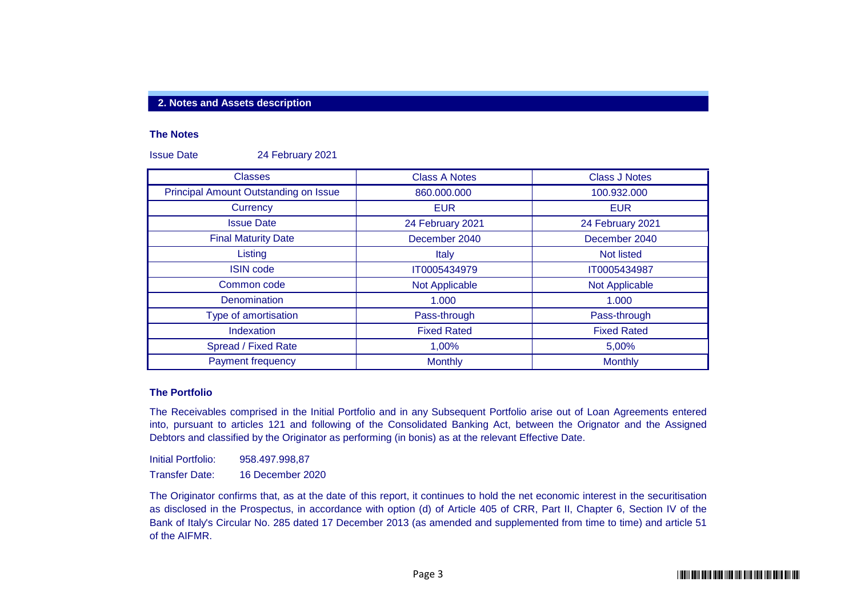#### **2. Notes and Assets description**

#### **The Notes**

Issue Date 24 February 2021

| <b>Classes</b>                        | <b>Class A Notes</b>  | <b>Class J Notes</b> |
|---------------------------------------|-----------------------|----------------------|
| Principal Amount Outstanding on Issue | 860.000.000           | 100.932.000          |
| Currency                              | <b>EUR</b>            | <b>EUR</b>           |
| <b>Issue Date</b>                     | 24 February 2021      | 24 February 2021     |
| <b>Final Maturity Date</b>            | December 2040         | December 2040        |
| Listing                               | Italy                 | Not listed           |
| <b>ISIN code</b>                      | IT0005434979          | IT0005434987         |
| Common code                           | <b>Not Applicable</b> | Not Applicable       |
| Denomination                          | 1.000                 | 1.000                |
| Type of amortisation                  | Pass-through          | Pass-through         |
| Indexation                            | <b>Fixed Rated</b>    | <b>Fixed Rated</b>   |
| Spread / Fixed Rate                   | 1,00%                 | 5,00%                |
| Payment frequency                     | <b>Monthly</b>        | <b>Monthly</b>       |

#### **The Portfolio**

The Receivables comprised in the Initial Portfolio and in any Subsequent Portfolio arise out of Loan Agreements entered into, pursuant to articles 121 and following of the Consolidated Banking Act, between the Orignator and the Assigned Debtors and classified by the Originator as performing (in bonis) as at the relevant Effective Date.

Initial Portfolio: 958.497.998,87 Transfer Date: 16 December 2020

The Originator confirms that, as at the date of this report, it continues to hold the net economic interest in the securitisation as disclosed in the Prospectus, in accordance with option (d) of Article 405 of CRR, Part II, Chapter 6, Section IV of the Bank of Italy's Circular No. 285 dated 17 December 2013 (as amended and supplemented from time to time) and article 51 of the AIFMR.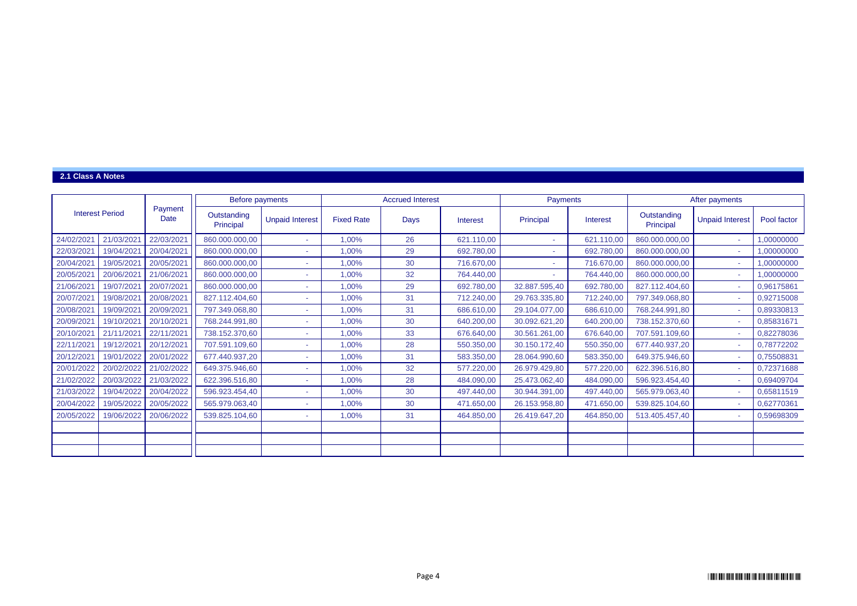#### **2.1 Class A Notes**

|                                |            |            | Before payments          |                        | <b>Accrued Interest</b> |      |            | Payments      |            | After payments           |                        |             |
|--------------------------------|------------|------------|--------------------------|------------------------|-------------------------|------|------------|---------------|------------|--------------------------|------------------------|-------------|
| <b>Interest Period</b><br>Date |            | Payment    | Outstanding<br>Principal | <b>Unpaid Interest</b> | <b>Fixed Rate</b>       | Days | Interest   | Principal     | Interest   | Outstanding<br>Principal | <b>Unpaid Interest</b> | Pool factor |
| 24/02/2021                     | 21/03/2021 | 22/03/2021 | 860.000.000,00           | . .                    | 1,00%                   | 26   | 621.110,00 |               | 621.110,00 | 860.000.000,00           | ×.                     | 1,00000000  |
| 22/03/2021                     | 19/04/2021 | 20/04/2021 | 860.000.000,00           |                        | 1.00%                   | 29   | 692.780,00 |               | 692.780,00 | 860.000.000,00           | $\sim$                 | 1,00000000  |
| 20/04/2021                     | 19/05/2021 | 20/05/2021 | 860.000.000,00           |                        | 1,00%                   | 30   | 716.670,00 |               | 716.670,00 | 860.000.000,00           | ÷                      | 1,00000000  |
| 20/05/2021                     | 20/06/2021 | 21/06/2021 | 860.000.000,00           |                        | 1.00%                   | 32   | 764.440,00 |               | 764.440,00 | 860.000.000,00           | ÷                      | 1,00000000  |
| 21/06/2021                     | 19/07/2021 | 20/07/2021 | 860.000.000,00           | $\sim$                 | 1.00%                   | 29   | 692.780,00 | 32.887.595,40 | 692.780,00 | 827.112.404,60           | ÷                      | 0,96175861  |
| 20/07/2021                     | 19/08/2021 | 20/08/2021 | 827.112.404,60           |                        | 1,00%                   | 31   | 712.240,00 | 29.763.335,80 | 712.240,00 | 797.349.068,80           | ÷.                     | 0,92715008  |
| 20/08/2021                     | 19/09/2021 | 20/09/2021 | 797.349.068,80           |                        | 1,00%                   | 31   | 686.610,00 | 29.104.077,00 | 686.610,00 | 768.244.991,80           | ÷                      | 0,89330813  |
| 20/09/2021                     | 19/10/2021 | 20/10/2021 | 768.244.991,80           | $\sim$                 | 1.00%                   | 30   | 640.200,00 | 30.092.621,20 | 640.200,00 | 738.152.370,60           | ÷                      | 0,85831671  |
| 20/10/2021                     | 21/11/2021 | 22/11/2021 | 738.152.370,60           | $\sim$                 | 1,00%                   | 33   | 676.640,00 | 30.561.261,00 | 676.640,00 | 707.591.109,60           | ÷                      | 0,82278036  |
| 22/11/2021                     | 19/12/2021 | 20/12/2021 | 707.591.109,60           |                        | 1,00%                   | 28   | 550.350,00 | 30.150.172,40 | 550.350,00 | 677.440.937,20           | $\sim$                 | 0,78772202  |
| 20/12/2021                     | 19/01/2022 | 20/01/2022 | 677.440.937,20           | <b>.</b>               | 1,00%                   | 31   | 583.350,00 | 28.064.990,60 | 583.350,00 | 649.375.946,60           | ×.                     | 0,75508831  |
| 20/01/2022                     | 20/02/2022 | 21/02/2022 | 649.375.946,60           |                        | 1,00%                   | 32   | 577.220,00 | 26.979.429,80 | 577.220,00 | 622.396.516,80           | $\sim$                 | 0,72371688  |
| 21/02/2022                     | 20/03/2022 | 21/03/2022 | 622.396.516,80           |                        | 1.00%                   | 28   | 484.090,00 | 25.473.062,40 | 484.090,00 | 596.923.454,40           | ÷                      | 0,69409704  |
| 21/03/2022                     | 19/04/2022 | 20/04/2022 | 596.923.454,40           |                        | 1,00%                   | 30   | 497.440,00 | 30.944.391,00 | 497.440,00 | 565.979.063,40           | ÷                      | 0,65811519  |
| 20/04/2022                     | 19/05/2022 | 20/05/2022 | 565.979.063,40           |                        | 1,00%                   | 30   | 471.650,00 | 26.153.958,80 | 471.650,00 | 539.825.104,60           | ÷                      | 0,62770361  |
| 20/05/2022                     | 19/06/2022 | 20/06/2022 | 539.825.104,60           |                        | 1,00%                   | 31   | 464.850,00 | 26.419.647.20 | 464.850,00 | 513.405.457,40           | ÷                      | 0,59698309  |
|                                |            |            |                          |                        |                         |      |            |               |            |                          |                        |             |
|                                |            |            |                          |                        |                         |      |            |               |            |                          |                        |             |
|                                |            |            |                          |                        |                         |      |            |               |            |                          |                        |             |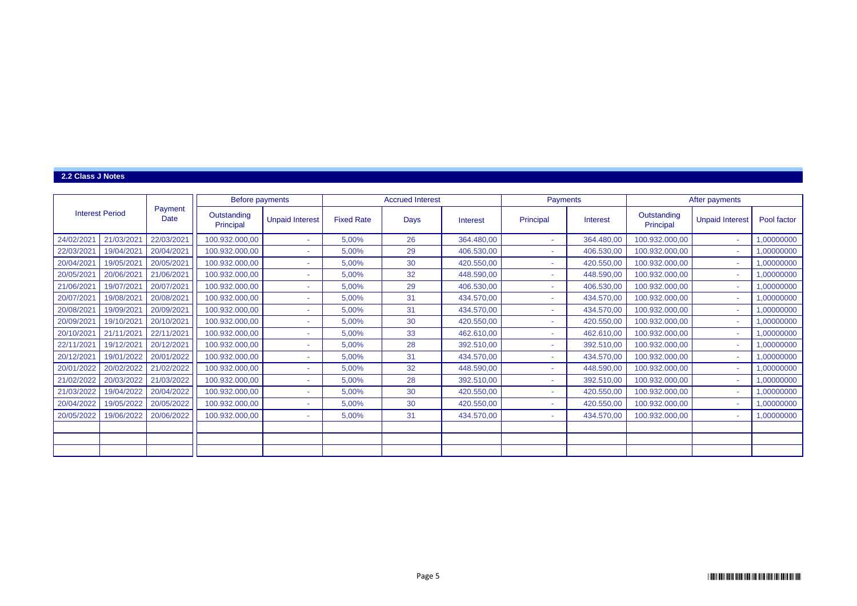#### **2.2 Class J Notes**

|                        |            |                        | <b>Before payments</b>   |                        |                   | <b>Accrued Interest</b> |            | Payments  |            |                          | After payments         |             |
|------------------------|------------|------------------------|--------------------------|------------------------|-------------------|-------------------------|------------|-----------|------------|--------------------------|------------------------|-------------|
| <b>Interest Period</b> |            | Payment<br><b>Date</b> | Outstanding<br>Principal | <b>Unpaid Interest</b> | <b>Fixed Rate</b> | Days                    | Interest   | Principal | Interest   | Outstanding<br>Principal | <b>Unpaid Interest</b> | Pool factor |
| 24/02/2021             | 21/03/2021 | 22/03/2021             | 100.932.000,00           | ٠                      | 5.00%             | 26                      | 364.480,00 |           | 364.480,00 | 100.932.000,00           | $\sim$                 | 00000000,   |
| 22/03/2021             | 19/04/2021 | 20/04/2021             | 100.932.000,00           | ٠                      | 5.00%             | 29                      | 406.530,00 |           | 406.530,00 | 100.932.000,00           | ٠                      | .00000000   |
| 20/04/2021             | 19/05/2021 | 20/05/2021             | 100.932.000,00           | ٠                      | 5,00%             | 30                      | 420.550,00 |           | 420.550,00 | 100.932.000,00           | $\sim$                 | 00000000,   |
| 20/05/2021             | 20/06/2021 | 21/06/2021             | 100.932.000,00           | ٠                      | 5.00%             | 32                      | 448.590,00 |           | 448.590,00 | 100.932.000,00           | ٠                      | 00000000,   |
| 21/06/2021             | 19/07/2021 | 20/07/2021             | 100.932.000,00           | ٠                      | 5.00%             | 29                      | 406.530,00 |           | 406.530,00 | 100.932.000,00           | ÷                      | .00000000   |
| 20/07/2021             | 19/08/2021 | 20/08/2021             | 100.932.000,00           | ٠                      | 5,00%             | 31                      | 434.570,00 |           | 434.570,00 | 100.932.000,00           | ٠                      | 00000000,   |
| 20/08/2021             | 19/09/2021 | 20/09/2021             | 100.932.000,00           | ٠                      | 5,00%             | 31                      | 434.570,00 |           | 434.570,00 | 100.932.000,00           | ÷                      | .00000000   |
| 20/09/2021             | 19/10/2021 | 20/10/2021             | 100.932.000,00           | ٠                      | 5.00%             | 30                      | 420.550,00 |           | 420.550,00 | 100.932.000,00           | ÷                      | ,00000000   |
| 20/10/2021             | 21/11/2021 | 22/11/2021             | 100.932.000,00           | ٠                      | 5,00%             | 33                      | 462.610,00 |           | 462.610,00 | 100.932.000,00           | $\sim$                 | .00000000   |
| 22/11/2021             | 19/12/2021 | 20/12/2021             | 100.932.000,00           | ٠                      | 5.00%             | 28                      | 392.510,00 |           | 392.510.00 | 100.932.000,00           | ٠                      | .00000000.  |
| 20/12/2021             | 19/01/2022 | 20/01/2022             | 100.932.000,00           | ٠                      | 5,00%             | 31                      | 434.570,00 |           | 434.570,00 | 100.932.000,00           | ٠                      | 00000000,   |
| 20/01/2022             | 20/02/2022 | 21/02/2022             | 100.932.000,00           | ٠                      | 5,00%             | 32                      | 448.590,00 |           | 448.590,00 | 100.932.000,00           | $\sim$                 | .00000000.  |
| 21/02/2022             | 20/03/2022 | 21/03/2022             | 100.932.000,00           | ٠                      | 5,00%             | 28                      | 392.510,00 |           | 392.510,00 | 100.932.000,00           | $\sim$                 | .00000000   |
| 21/03/2022             | 19/04/2022 | 20/04/2022             | 100.932.000,00           | ٠                      | 5,00%             | 30                      | 420.550,00 |           | 420.550,00 | 100.932.000,00           | ÷                      | 00000000.1  |
| 20/04/2022             | 19/05/2022 | 20/05/2022             | 100.932.000,00           | ٠                      | 5,00%             | 30                      | 420.550,00 |           | 420.550,00 | 100.932.000,00           | ٠                      | 00000000,   |
| 20/05/2022             | 19/06/2022 | 20/06/2022             | 100.932.000,00           | ٠                      | 5,00%             | 31                      | 434.570,00 |           | 434.570,00 | 100.932.000,00           | $\sim$                 | ,00000000   |
|                        |            |                        |                          |                        |                   |                         |            |           |            |                          |                        |             |
|                        |            |                        |                          |                        |                   |                         |            |           |            |                          |                        |             |
|                        |            |                        |                          |                        |                   |                         |            |           |            |                          |                        |             |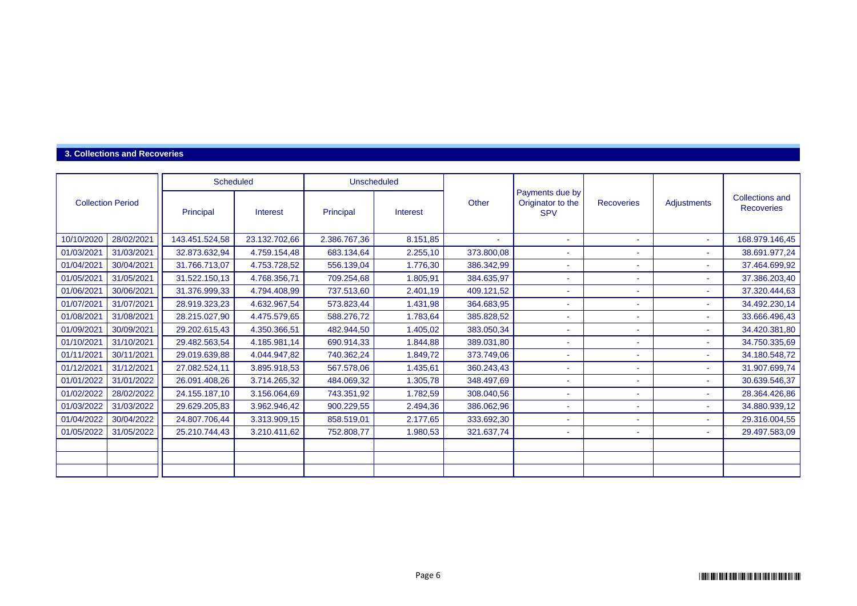#### **3. Collections and Recoveries**

|                          |            | <b>Scheduled</b> |               | <b>Unscheduled</b> |          |            |                                                    |                          |                          |                                             |
|--------------------------|------------|------------------|---------------|--------------------|----------|------------|----------------------------------------------------|--------------------------|--------------------------|---------------------------------------------|
| <b>Collection Period</b> |            | Principal        | Interest      | Principal          | Interest | Other      | Payments due by<br>Originator to the<br><b>SPV</b> | <b>Recoveries</b>        | Adjustments              | <b>Collections and</b><br><b>Recoveries</b> |
| 10/10/2020               | 28/02/2021 | 143.451.524,58   | 23.132.702,66 | 2.386.767,36       | 8.151,85 | $\sim$     | $\tilde{\phantom{a}}$                              | ٠                        | $\sim$                   | 168.979.146,45                              |
| 01/03/2021               | 31/03/2021 | 32.873.632,94    | 4.759.154,48  | 683.134,64         | 2.255,10 | 373.800,08 |                                                    | ٠                        |                          | 38.691.977,24                               |
| 01/04/2021               | 30/04/2021 | 31.766.713,07    | 4.753.728,52  | 556.139,04         | 1.776,30 | 386.342,99 | ٠                                                  | ٠                        |                          | 37.464.699,92                               |
| 01/05/2021               | 31/05/2021 | 31.522.150,13    | 4.768.356,71  | 709.254,68         | 1.805,91 | 384.635,97 | $\tilde{\phantom{a}}$                              | ٠                        | $\blacksquare$           | 37.386.203,40                               |
| 01/06/2021               | 30/06/2021 | 31.376.999,33    | 4.794.408,99  | 737.513,60         | 2.401,19 | 409.121,52 | ۰                                                  | ۰                        |                          | 37.320.444,63                               |
| 01/07/2021               | 31/07/2021 | 28.919.323,23    | 4.632.967,54  | 573.823,44         | 1.431,98 | 364.683,95 |                                                    | ٠                        |                          | 34.492.230,14                               |
| 01/08/2021               | 31/08/2021 | 28.215.027,90    | 4.475.579,65  | 588.276,72         | 1.783,64 | 385.828,52 | $\tilde{\phantom{a}}$                              | ٠                        | $\blacksquare$           | 33.666.496,43                               |
| 01/09/2021               | 30/09/2021 | 29.202.615,43    | 4.350.366,51  | 482.944,50         | 1.405,02 | 383.050,34 | ۰                                                  | ۰                        | $\overline{\phantom{a}}$ | 34.420.381,80                               |
| 01/10/2021               | 31/10/2021 | 29.482.563,54    | 4.185.981,14  | 690.914,33         | 1.844,88 | 389.031,80 | $\tilde{\phantom{a}}$                              | ٠                        | $\overline{\phantom{a}}$ | 34.750.335,69                               |
| 01/11/2021               | 30/11/2021 | 29.019.639,88    | 4.044.947,82  | 740.362,24         | 1.849,72 | 373.749,06 | ٠                                                  | ٠                        | $\overline{\phantom{a}}$ | 34.180.548,72                               |
| 01/12/2021               | 31/12/2021 | 27.082.524,11    | 3.895.918,53  | 567.578,06         | 1.435,61 | 360.243,43 | $\tilde{\phantom{a}}$                              | ٠                        | $\overline{\phantom{a}}$ | 31.907.699,74                               |
| 01/01/2022               | 31/01/2022 | 26.091.408,26    | 3.714.265,32  | 484.069,32         | 1.305,78 | 348.497,69 | ۰                                                  | ۰                        |                          | 30.639.546,37                               |
| 01/02/2022               | 28/02/2022 | 24.155.187,10    | 3.156.064,69  | 743.351,92         | 1.782,59 | 308.040,56 | ٠                                                  | ٠                        |                          | 28.364.426,86                               |
| 01/03/2022               | 31/03/2022 | 29.629.205,83    | 3.962.946,42  | 900.229,55         | 2.494,36 | 386.062,96 | ۰                                                  | $\overline{\phantom{a}}$ | ٠                        | 34.880.939,12                               |
| 01/04/2022               | 30/04/2022 | 24.807.706,44    | 3.313.909,15  | 858.519,01         | 2.177,65 | 333.692,30 | $\tilde{\phantom{a}}$                              | ٠                        | $\overline{\phantom{a}}$ | 29.316.004,55                               |
| 01/05/2022               | 31/05/2022 | 25.210.744,43    | 3.210.411,62  | 752.808,77         | 1.980,53 | 321.637,74 | $\overline{\phantom{a}}$                           | $\blacksquare$           | ٠                        | 29.497.583,09                               |
|                          |            |                  |               |                    |          |            |                                                    |                          |                          |                                             |
|                          |            |                  |               |                    |          |            |                                                    |                          |                          |                                             |
|                          |            |                  |               |                    |          |            |                                                    |                          |                          |                                             |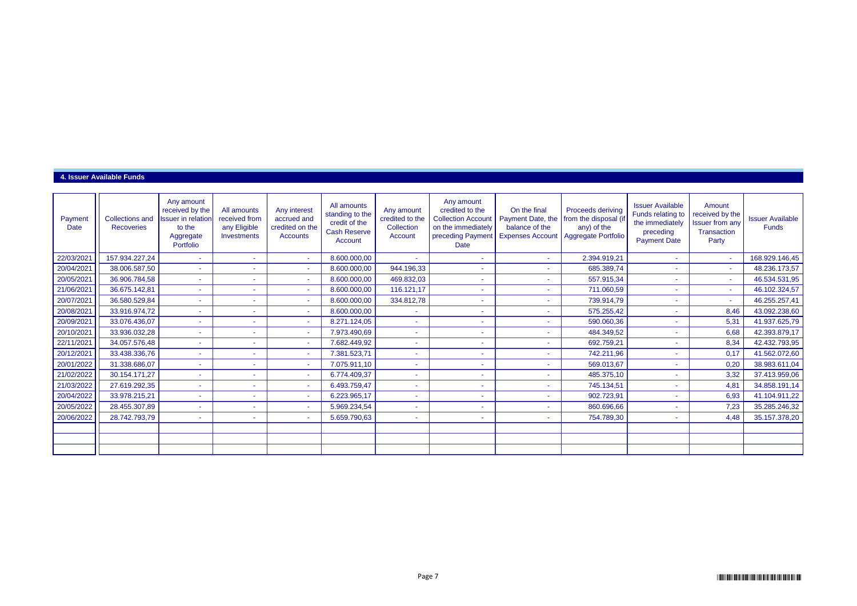#### **4. Issuer Available Funds**

| Payment<br>Date | <b>Collections and</b><br><b>Recoveries</b> | Any amount<br>received by the<br><b>Issuer</b> in relation<br>to the<br>Aggregate<br>Portfolio | All amounts<br>received from<br>any Eligible<br>Investments | Any interest<br>accrued and<br>credited on the<br>Accounts | All amounts<br>standing to the<br>credit of the<br><b>Cash Reserve</b><br>Account | Any amount<br>credited to the<br>Collection<br>Account | Any amount<br>credited to the<br><b>Collection Account</b><br>on the immediately<br>preceding Payment<br>Date | On the final<br>Payment Date, the<br>balance of the<br><b>Expenses Account</b> | <b>Proceeds deriving</b><br>from the disposal (if<br>any) of the<br>Aggregate Portfolio | <b>Issuer Available</b><br>Funds relating to<br>the immediately<br>preceding<br><b>Payment Date</b> | Amount<br>received by the<br><b>Issuer from any</b><br>Transaction<br>Party | <b>Issuer Available</b><br><b>Funds</b> |
|-----------------|---------------------------------------------|------------------------------------------------------------------------------------------------|-------------------------------------------------------------|------------------------------------------------------------|-----------------------------------------------------------------------------------|--------------------------------------------------------|---------------------------------------------------------------------------------------------------------------|--------------------------------------------------------------------------------|-----------------------------------------------------------------------------------------|-----------------------------------------------------------------------------------------------------|-----------------------------------------------------------------------------|-----------------------------------------|
| 22/03/2021      | 157.934.227,24                              | $\sim$                                                                                         |                                                             | $\sim$                                                     | 8.600.000,00                                                                      | $\sim$                                                 |                                                                                                               | $\sim$                                                                         | 2.394.919,21                                                                            | $\sim$                                                                                              | $\sim$                                                                      | 168.929.146,45                          |
| 20/04/2021      | 38.006.587,50                               | $\sim$                                                                                         |                                                             | $\sim$                                                     | 8.600.000,00                                                                      | 944.196,33                                             |                                                                                                               |                                                                                | 685.389,74                                                                              | $\sim$                                                                                              | $\sim$                                                                      | 48.236.173,57                           |
| 20/05/2021      | 36.906.784,58                               |                                                                                                |                                                             | $\sim$                                                     | 8.600.000,00                                                                      | 469.832,03                                             |                                                                                                               | ٠                                                                              | 557.915,34                                                                              | $\sim$                                                                                              | $\sim$                                                                      | 46.534.531,95                           |
| 21/06/2021      | 36.675.142,81                               |                                                                                                |                                                             | $\sim$                                                     | 8.600.000,00                                                                      | 116.121,17                                             |                                                                                                               | ٠                                                                              | 711.060,59                                                                              | ٠                                                                                                   |                                                                             | 46.102.324,57                           |
| 20/07/2021      | 36.580.529,84                               |                                                                                                |                                                             | $\sim$                                                     | 8.600.000,00                                                                      | 334.812,78                                             |                                                                                                               | $\sim$                                                                         | 739.914,79                                                                              | ٠                                                                                                   |                                                                             | 46.255.257,41                           |
| 20/08/2021      | 33.916.974,72                               |                                                                                                |                                                             | $\sim$                                                     | 8.600.000,00                                                                      | ٠                                                      |                                                                                                               |                                                                                | 575.255,42                                                                              | ٠                                                                                                   | 8,46                                                                        | 43.092.238,60                           |
| 20/09/2021      | 33.076.436,07                               |                                                                                                |                                                             | $\sim$                                                     | 8.271.124,05                                                                      | ÷                                                      |                                                                                                               |                                                                                | 590.060,36                                                                              | ٠                                                                                                   | 5,31                                                                        | 41.937.625,79                           |
| 20/10/2021      | 33.936.032,28                               |                                                                                                |                                                             | $\sim$                                                     | 7.973.490,69                                                                      | ٠                                                      |                                                                                                               |                                                                                | 484.349,52                                                                              | ٠                                                                                                   | 6,68                                                                        | 42.393.879,17                           |
| 22/11/2021      | 34.057.576,48                               |                                                                                                |                                                             | $\sim$                                                     | 7.682.449.92                                                                      | $\sim$                                                 |                                                                                                               |                                                                                | 692.759,21                                                                              | ٠                                                                                                   | 8,34                                                                        | 42.432.793,95                           |
| 20/12/2021      | 33.438.336,76                               |                                                                                                |                                                             | $\sim$                                                     | 7.381.523,71                                                                      | $\sim$                                                 |                                                                                                               |                                                                                | 742.211,96                                                                              | ٠                                                                                                   | 0.17                                                                        | 41.562.072,60                           |
| 20/01/2022      | 31.338.686,07                               |                                                                                                |                                                             | $\sim$                                                     | 7.075.911,10                                                                      | ٠                                                      |                                                                                                               |                                                                                | 569.013,67                                                                              | ٠                                                                                                   | 0,20                                                                        | 38.983.611,04                           |
| 21/02/2022      | 30.154.171,27                               |                                                                                                |                                                             | $\sim$                                                     | 6.774.409,37                                                                      | ٠                                                      |                                                                                                               |                                                                                | 485.375,10                                                                              | ٠                                                                                                   | 3,32                                                                        | 37.413.959,06                           |
| 21/03/2022      | 27.619.292,35                               |                                                                                                |                                                             | $\sim$                                                     | 6.493.759,47                                                                      | ٠                                                      |                                                                                                               |                                                                                | 745.134,51                                                                              | ٠                                                                                                   | 4,81                                                                        | 34.858.191,14                           |
| 20/04/2022      | 33.978.215,21                               |                                                                                                |                                                             | $\sim$                                                     | 6.223.965,17                                                                      | $\sim$                                                 |                                                                                                               |                                                                                | 902.723,91                                                                              | ٠                                                                                                   | 6,93                                                                        | 41.104.911,22                           |
| 20/05/2022      | 28.455.307,89                               |                                                                                                |                                                             | $\sim$                                                     | 5.969.234,54                                                                      | ٠                                                      |                                                                                                               |                                                                                | 860.696,66                                                                              | ٠                                                                                                   | 7,23                                                                        | 35.285.246,32                           |
| 20/06/2022      | 28.742.793,79                               | $\sim$                                                                                         | ٠                                                           | $\sim$                                                     | 5.659.790,63                                                                      | $\sim$                                                 |                                                                                                               | $\sim$                                                                         | 754.789,30                                                                              | $\blacksquare$                                                                                      | 4,48                                                                        | 35.157.378,20                           |
|                 |                                             |                                                                                                |                                                             |                                                            |                                                                                   |                                                        |                                                                                                               |                                                                                |                                                                                         |                                                                                                     |                                                                             |                                         |
|                 |                                             |                                                                                                |                                                             |                                                            |                                                                                   |                                                        |                                                                                                               |                                                                                |                                                                                         |                                                                                                     |                                                                             |                                         |
|                 |                                             |                                                                                                |                                                             |                                                            |                                                                                   |                                                        |                                                                                                               |                                                                                |                                                                                         |                                                                                                     |                                                                             |                                         |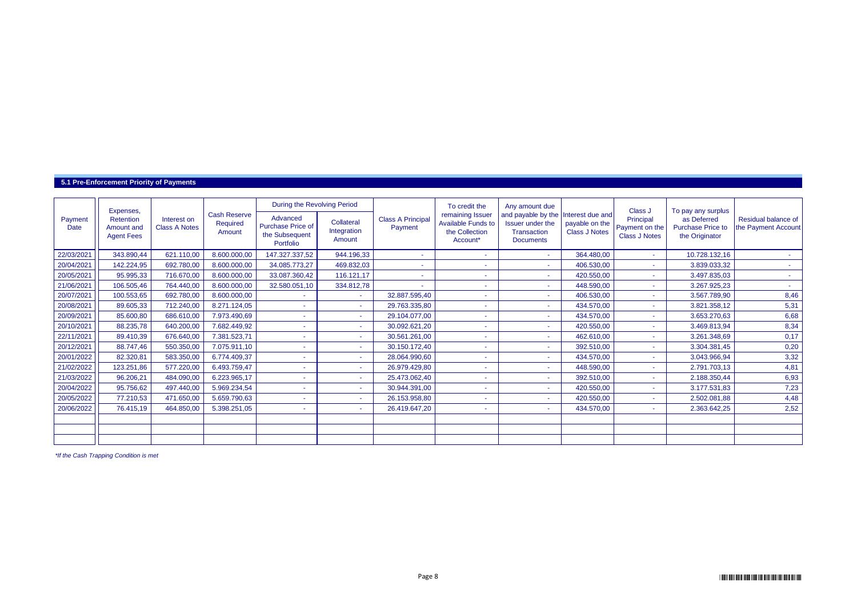#### **5.1 Pre-Enforcement Priority of Payments**

|                 | Expenses,                                    |                                     |                                           | During the Revolving Period                                  |                                     |                                     | To credit the                                                               | Any amount due                                                            |                                                            | Class J                                             | To pay any surplus                                        |                                            |
|-----------------|----------------------------------------------|-------------------------------------|-------------------------------------------|--------------------------------------------------------------|-------------------------------------|-------------------------------------|-----------------------------------------------------------------------------|---------------------------------------------------------------------------|------------------------------------------------------------|-----------------------------------------------------|-----------------------------------------------------------|--------------------------------------------|
| Payment<br>Date | Retention<br>Amount and<br><b>Agent Fees</b> | Interest on<br><b>Class A Notes</b> | <b>Cash Reserve</b><br>Required<br>Amount | Advanced<br>Purchase Price of<br>the Subsequent<br>Portfolio | Collateral<br>Integration<br>Amount | <b>Class A Principal</b><br>Payment | remaining Issuer<br><b>Available Funds to</b><br>the Collection<br>Account* | and payable by the<br>Issuer under the<br>Transaction<br><b>Documents</b> | Interest due and<br>payable on the<br><b>Class J Notes</b> | Principal<br>Payment on the<br><b>Class J Notes</b> | as Deferred<br><b>Purchase Price to</b><br>the Originator | Residual balance of<br>the Payment Account |
| 22/03/2021      | 343.890,44                                   | 621.110,00                          | 8.600.000,00                              | 147.327.337,52                                               | 944.196,33                          |                                     |                                                                             |                                                                           | 364.480,00                                                 | ٠                                                   | 10.728.132,16                                             |                                            |
| 20/04/2021      | 142.224,95                                   | 692.780,00                          | 8.600.000,00                              | 34.085.773,27                                                | 469.832,03                          |                                     |                                                                             | $\sim$                                                                    | 406.530,00                                                 | a.                                                  | 3.839.033,32                                              |                                            |
| 20/05/2021      | 95.995,33                                    | 716.670,00                          | 8.600.000,00                              | 33.087.360,42                                                | 116.121,17                          |                                     |                                                                             |                                                                           | 420.550,00                                                 |                                                     | 3.497.835,03                                              |                                            |
| 21/06/2021      | 106.505,46                                   | 764.440,00                          | 8.600.000,00                              | 32.580.051,10                                                | 334.812,78                          |                                     |                                                                             |                                                                           | 448.590,00                                                 |                                                     | 3.267.925,23                                              |                                            |
| 20/07/2021      | 100.553,65                                   | 692.780,00                          | 8.600.000,00                              |                                                              |                                     | 32.887.595,40                       |                                                                             | $\sim$                                                                    | 406.530,00                                                 |                                                     | 3.567.789,90                                              | 8,46                                       |
| 20/08/2021      | 89.605,33                                    | 712.240,00                          | 8.271.124,05                              |                                                              |                                     | 29.763.335,80                       |                                                                             |                                                                           | 434.570.00                                                 |                                                     | 3.821.358,12                                              | 5,31                                       |
| 20/09/2021      | 85.600,80                                    | 686.610,00                          | 7.973.490,69                              | ٠                                                            | <b>COL</b>                          | 29.104.077,00                       | $\sim$                                                                      | <b>Section</b>                                                            | 434.570,00                                                 | ÷                                                   | 3.653.270,63                                              | 6,68                                       |
| 20/10/2021      | 88.235,78                                    | 640.200,00                          | 7.682.449,92                              |                                                              |                                     | 30.092.621,20                       |                                                                             | ж.                                                                        | 420.550,00                                                 | ٠                                                   | 3.469.813,94                                              | 8,34                                       |
| 22/11/2021      | 89.410,39                                    | 676.640,00                          | 7.381.523,71                              |                                                              |                                     | 30.561.261,00                       |                                                                             | $\sim$                                                                    | 462.610,00                                                 | ÷                                                   | 3.261.348,69                                              | 0,17                                       |
| 20/12/2021      | 88.747,46                                    | 550.350,00                          | 7.075.911,10                              |                                                              |                                     | 30.150.172,40                       |                                                                             |                                                                           | 392.510,00                                                 | ٠                                                   | 3.304.381,45                                              | 0,20                                       |
| 20/01/2022      | 82.320,81                                    | 583.350,00                          | 6.774.409,37                              |                                                              |                                     | 28.064.990,60                       |                                                                             |                                                                           | 434.570.00                                                 | ÷.                                                  | 3.043.966,94                                              | 3,32                                       |
| 21/02/2022      | 123.251,86                                   | 577.220,00                          | 6.493.759,47                              |                                                              |                                     | 26.979.429,80                       |                                                                             | ж.                                                                        | 448.590,00                                                 | ۰.                                                  | 2.791.703,13                                              | 4,81                                       |
| 21/03/2022      | 96.206,21                                    | 484.090,00                          | 6.223.965,17                              |                                                              |                                     | 25.473.062,40                       |                                                                             | $\sim$                                                                    | 392.510,00                                                 | ÷                                                   | 2.188.350,44                                              | 6,93                                       |
| 20/04/2022      | 95.756,62                                    | 497.440,00                          | 5.969.234,54                              |                                                              |                                     | 30.944.391,00                       |                                                                             |                                                                           | 420.550,00                                                 |                                                     | 3.177.531,83                                              | 7,23                                       |
| 20/05/2022      | 77.210,53                                    | 471.650,00                          | 5.659.790,63                              |                                                              |                                     | 26.153.958,80                       |                                                                             |                                                                           | 420.550,00                                                 |                                                     | 2.502.081,88                                              | 4,48                                       |
| 20/06/2022      | 76.415,19                                    | 464.850,00                          | 5.398.251,05                              |                                                              |                                     | 26.419.647,20                       |                                                                             | $\sim$                                                                    | 434.570,00                                                 |                                                     | 2.363.642,25                                              | 2,52                                       |
|                 |                                              |                                     |                                           |                                                              |                                     |                                     |                                                                             |                                                                           |                                                            |                                                     |                                                           |                                            |
|                 |                                              |                                     |                                           |                                                              |                                     |                                     |                                                                             |                                                                           |                                                            |                                                     |                                                           |                                            |
|                 |                                              |                                     |                                           |                                                              |                                     |                                     |                                                                             |                                                                           |                                                            |                                                     |                                                           |                                            |

*\*If the Cash Trapping Condition is met*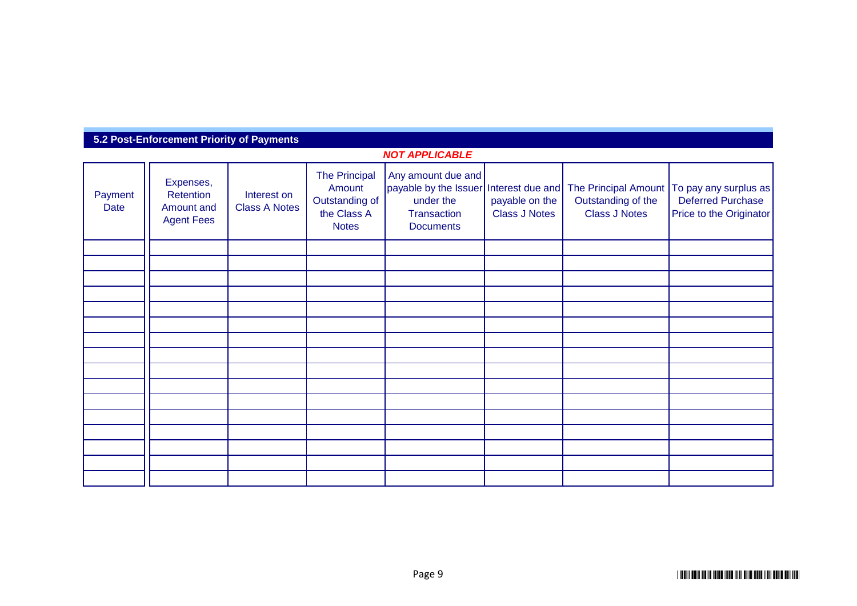# **5.2 Post-Enforcement Priority of Payments**

| <b>NOT APPLICABLE</b> |                                                           |                                     |                                                                                 |                                                                                             |                                        |                                                                                     |                                                                              |  |  |  |
|-----------------------|-----------------------------------------------------------|-------------------------------------|---------------------------------------------------------------------------------|---------------------------------------------------------------------------------------------|----------------------------------------|-------------------------------------------------------------------------------------|------------------------------------------------------------------------------|--|--|--|
| Payment<br>Date       | Expenses,<br>Retention<br>Amount and<br><b>Agent Fees</b> | Interest on<br><b>Class A Notes</b> | <b>The Principal</b><br>Amount<br>Outstanding of<br>the Class A<br><b>Notes</b> | Any amount due and<br>payable by the Issuer<br>under the<br>Transaction<br><b>Documents</b> | payable on the<br><b>Class J Notes</b> | Interest due and The Principal Amount<br>Outstanding of the<br><b>Class J Notes</b> | To pay any surplus as<br><b>Deferred Purchase</b><br>Price to the Originator |  |  |  |
|                       |                                                           |                                     |                                                                                 |                                                                                             |                                        |                                                                                     |                                                                              |  |  |  |
|                       |                                                           |                                     |                                                                                 |                                                                                             |                                        |                                                                                     |                                                                              |  |  |  |
|                       |                                                           |                                     |                                                                                 |                                                                                             |                                        |                                                                                     |                                                                              |  |  |  |
|                       |                                                           |                                     |                                                                                 |                                                                                             |                                        |                                                                                     |                                                                              |  |  |  |
|                       |                                                           |                                     |                                                                                 |                                                                                             |                                        |                                                                                     |                                                                              |  |  |  |
|                       |                                                           |                                     |                                                                                 |                                                                                             |                                        |                                                                                     |                                                                              |  |  |  |
|                       |                                                           |                                     |                                                                                 |                                                                                             |                                        |                                                                                     |                                                                              |  |  |  |
|                       |                                                           |                                     |                                                                                 |                                                                                             |                                        |                                                                                     |                                                                              |  |  |  |
|                       |                                                           |                                     |                                                                                 |                                                                                             |                                        |                                                                                     |                                                                              |  |  |  |
|                       |                                                           |                                     |                                                                                 |                                                                                             |                                        |                                                                                     |                                                                              |  |  |  |
|                       |                                                           |                                     |                                                                                 |                                                                                             |                                        |                                                                                     |                                                                              |  |  |  |
|                       |                                                           |                                     |                                                                                 |                                                                                             |                                        |                                                                                     |                                                                              |  |  |  |
|                       |                                                           |                                     |                                                                                 |                                                                                             |                                        |                                                                                     |                                                                              |  |  |  |
|                       |                                                           |                                     |                                                                                 |                                                                                             |                                        |                                                                                     |                                                                              |  |  |  |
|                       |                                                           |                                     |                                                                                 |                                                                                             |                                        |                                                                                     |                                                                              |  |  |  |
|                       |                                                           |                                     |                                                                                 |                                                                                             |                                        |                                                                                     |                                                                              |  |  |  |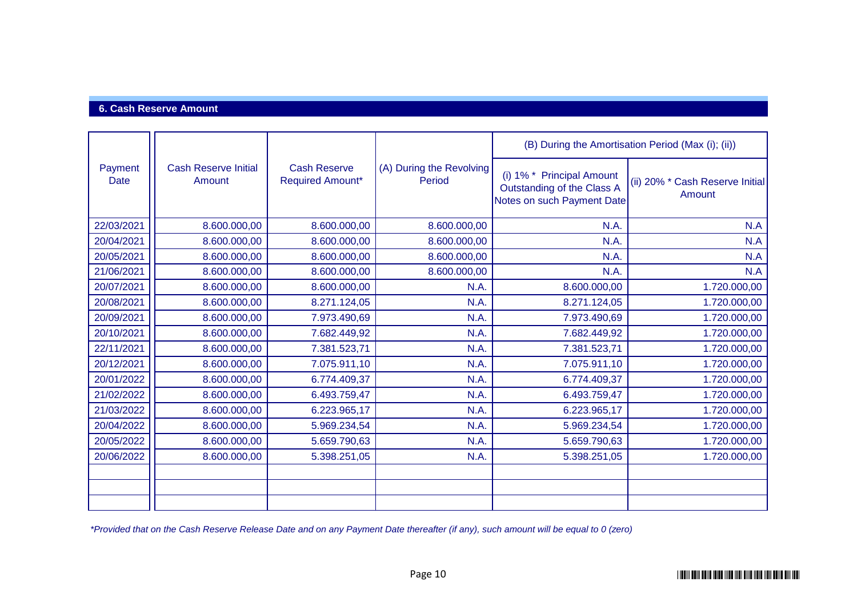## **6. Cash Reserve Amount**

|                 |                                       |                                                |                                    |                                                                                       | (B) During the Amortisation Period (Max (i); (ii)) |
|-----------------|---------------------------------------|------------------------------------------------|------------------------------------|---------------------------------------------------------------------------------------|----------------------------------------------------|
| Payment<br>Date | <b>Cash Reserve Initial</b><br>Amount | <b>Cash Reserve</b><br><b>Required Amount*</b> | (A) During the Revolving<br>Period | (i) 1% * Principal Amount<br>Outstanding of the Class A<br>Notes on such Payment Date | (ii) 20% * Cash Reserve Initial<br>Amount          |
| 22/03/2021      | 8.600.000,00                          | 8.600.000,00                                   | 8.600.000,00                       | N.A.                                                                                  | N.A                                                |
| 20/04/2021      | 8.600.000,00                          | 8.600.000,00                                   | 8.600.000,00                       | N.A.                                                                                  | N.A                                                |
| 20/05/2021      | 8.600.000,00                          | 8.600.000,00                                   | 8.600.000,00                       | N.A.                                                                                  | N.A                                                |
| 21/06/2021      | 8.600.000,00                          | 8.600.000,00                                   | 8.600.000,00                       | N.A.                                                                                  | N.A                                                |
| 20/07/2021      | 8.600.000,00                          | 8.600.000,00                                   | N.A.                               | 8.600.000,00                                                                          | 1.720.000,00                                       |
| 20/08/2021      | 8.600.000,00                          | 8.271.124,05                                   | N.A.                               | 8.271.124,05                                                                          | 1.720.000,00                                       |
| 20/09/2021      | 8.600.000,00                          | 7.973.490,69                                   | N.A.                               | 7.973.490,69                                                                          | 1.720.000,00                                       |
| 20/10/2021      | 8.600.000,00                          | 7.682.449,92                                   | N.A.                               | 7.682.449,92                                                                          | 1.720.000,00                                       |
| 22/11/2021      | 8.600.000,00                          | 7.381.523,71                                   | N.A.                               | 7.381.523,71                                                                          | 1.720.000,00                                       |
| 20/12/2021      | 8.600.000,00                          | 7.075.911,10                                   | N.A.                               | 7.075.911,10                                                                          | 1.720.000,00                                       |
| 20/01/2022      | 8.600.000,00                          | 6.774.409,37                                   | N.A.                               | 6.774.409,37                                                                          | 1.720.000,00                                       |
| 21/02/2022      | 8.600.000,00                          | 6.493.759,47                                   | N.A.                               | 6.493.759,47                                                                          | 1.720.000,00                                       |
| 21/03/2022      | 8.600.000,00                          | 6.223.965,17                                   | N.A.                               | 6.223.965,17                                                                          | 1.720.000,00                                       |
| 20/04/2022      | 8.600.000,00                          | 5.969.234,54                                   | N.A.                               | 5.969.234,54                                                                          | 1.720.000,00                                       |
| 20/05/2022      | 8.600.000,00                          | 5.659.790,63                                   | N.A.                               | 5.659.790,63                                                                          | 1.720.000,00                                       |
| 20/06/2022      | 8.600.000,00                          | 5.398.251,05                                   | N.A.                               | 5.398.251,05                                                                          | 1.720.000,00                                       |
|                 |                                       |                                                |                                    |                                                                                       |                                                    |
|                 |                                       |                                                |                                    |                                                                                       |                                                    |
|                 |                                       |                                                |                                    |                                                                                       |                                                    |

*\*Provided that on the Cash Reserve Release Date and on any Payment Date thereafter (if any), such amount will be equal to 0 (zero)*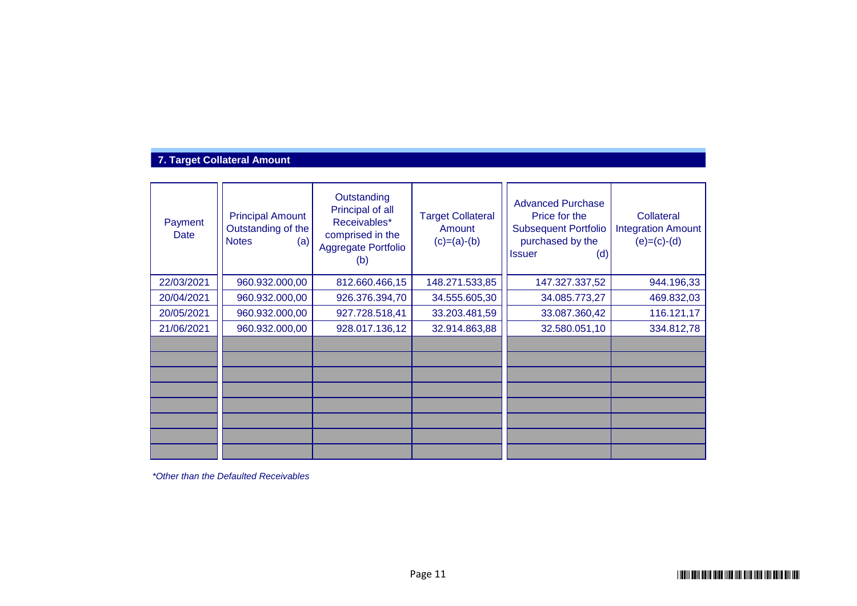# **7. Target Collateral Amount**

| Payment<br>Date | <b>Principal Amount</b><br>Outstanding of the<br><b>Notes</b><br>(a) | Outstanding<br>Principal of all<br>Receivables*<br>comprised in the<br>Aggregate Portfolio<br>(b) | <b>Target Collateral</b><br>Amount<br>$(c)=(a)-(b)$ | <b>Advanced Purchase</b><br>Price for the<br><b>Subsequent Portfolio</b><br>purchased by the<br><b>Issuer</b><br>(d) | Collateral<br><b>Integration Amount</b><br>$(e)=(c)-(d)$ |
|-----------------|----------------------------------------------------------------------|---------------------------------------------------------------------------------------------------|-----------------------------------------------------|----------------------------------------------------------------------------------------------------------------------|----------------------------------------------------------|
| 22/03/2021      | 960.932.000,00                                                       | 812.660.466,15                                                                                    | 148.271.533,85                                      | 147.327.337,52                                                                                                       | 944.196,33                                               |
| 20/04/2021      | 960.932.000,00                                                       | 926.376.394,70                                                                                    | 34.555.605,30                                       | 34.085.773,27                                                                                                        | 469.832,03                                               |
| 20/05/2021      | 960.932.000,00                                                       | 927.728.518,41                                                                                    | 33.203.481,59                                       | 33.087.360,42                                                                                                        | 116.121,17                                               |
| 21/06/2021      | 960.932.000,00                                                       | 928.017.136,12                                                                                    | 32.914.863,88                                       | 32.580.051,10                                                                                                        | 334.812,78                                               |
|                 |                                                                      |                                                                                                   |                                                     |                                                                                                                      |                                                          |
|                 |                                                                      |                                                                                                   |                                                     |                                                                                                                      |                                                          |
|                 |                                                                      |                                                                                                   |                                                     |                                                                                                                      |                                                          |
|                 |                                                                      |                                                                                                   |                                                     |                                                                                                                      |                                                          |
|                 |                                                                      |                                                                                                   |                                                     |                                                                                                                      |                                                          |
|                 |                                                                      |                                                                                                   |                                                     |                                                                                                                      |                                                          |
|                 |                                                                      |                                                                                                   |                                                     |                                                                                                                      |                                                          |
|                 |                                                                      |                                                                                                   |                                                     |                                                                                                                      |                                                          |

*\*Other than the Defaulted Receivables*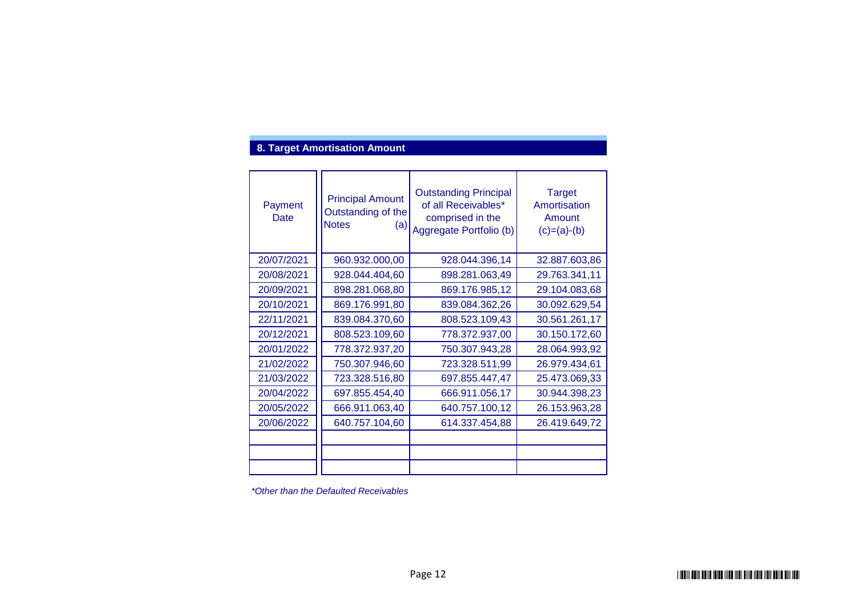## **8. Target Amortisation Amount**

| Payment<br>Date | <b>Principal Amount</b><br>Outstanding of the<br><b>Notes</b><br>(a) | <b>Outstanding Principal</b><br>of all Receivables*<br>comprised in the<br>Aggregate Portfolio (b) | <b>Target</b><br>Amortisation<br>Amount<br>$(c)=(a)-(b)$ |
|-----------------|----------------------------------------------------------------------|----------------------------------------------------------------------------------------------------|----------------------------------------------------------|
| 20/07/2021      | 960.932.000,00                                                       | 928.044.396,14                                                                                     | 32.887.603,86                                            |
| 20/08/2021      | 928.044.404,60                                                       | 898.281.063,49                                                                                     | 29.763.341,11                                            |
| 20/09/2021      | 898.281.068,80                                                       | 869.176.985,12                                                                                     | 29.104.083,68                                            |
| 20/10/2021      | 869.176.991,80                                                       | 839.084.362,26                                                                                     | 30.092.629,54                                            |
| 22/11/2021      | 839.084.370,60                                                       | 808.523.109,43                                                                                     | 30.561.261,17                                            |
| 20/12/2021      | 808.523.109,60                                                       | 778.372.937,00                                                                                     | 30.150.172,60                                            |
| 20/01/2022      | 778.372.937,20                                                       | 750.307.943,28                                                                                     | 28.064.993,92                                            |
| 21/02/2022      | 750.307.946,60                                                       | 723.328.511,99                                                                                     | 26.979.434,61                                            |
| 21/03/2022      | 723.328.516,80                                                       | 697.855.447,47                                                                                     | 25.473.069,33                                            |
| 20/04/2022      | 697.855.454,40                                                       | 666.911.056,17                                                                                     | 30.944.398,23                                            |
| 20/05/2022      | 666.911.063,40                                                       | 640.757.100,12                                                                                     | 26.153.963,28                                            |
| 20/06/2022      | 640.757.104,60                                                       | 614.337.454,88                                                                                     | 26.419.649,72                                            |
|                 |                                                                      |                                                                                                    |                                                          |
|                 |                                                                      |                                                                                                    |                                                          |
|                 |                                                                      |                                                                                                    |                                                          |

*\*Other than the Defaulted Receivables*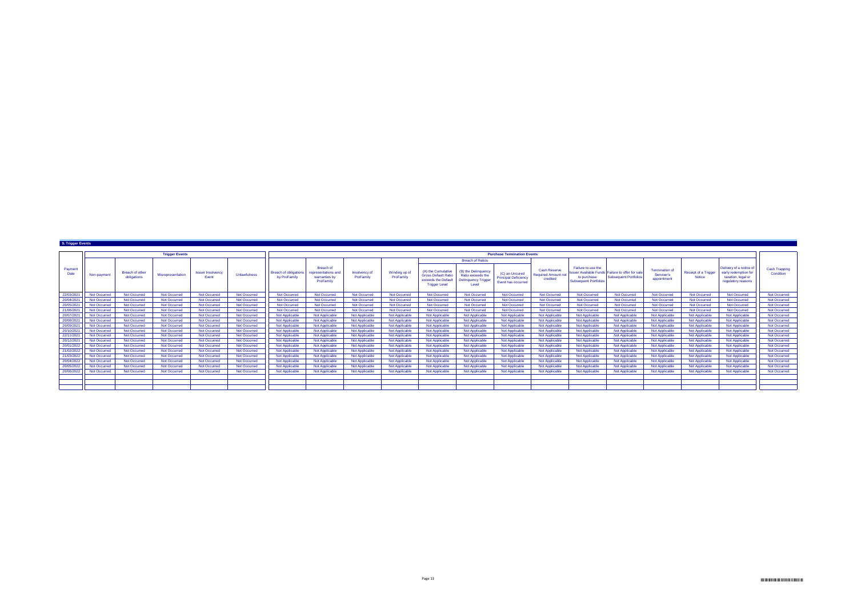| 9. Trigger Events |                                               |                       |                                          |              |                                              |                                                                |                                    |                            |                                                                                                 |                                                                                 |                                                                     |                                                        |                                                                   |                                                                                  |                                                    |                                       |                                                                                          |                            |              |
|-------------------|-----------------------------------------------|-----------------------|------------------------------------------|--------------|----------------------------------------------|----------------------------------------------------------------|------------------------------------|----------------------------|-------------------------------------------------------------------------------------------------|---------------------------------------------------------------------------------|---------------------------------------------------------------------|--------------------------------------------------------|-------------------------------------------------------------------|----------------------------------------------------------------------------------|----------------------------------------------------|---------------------------------------|------------------------------------------------------------------------------------------|----------------------------|--------------|
|                   |                                               | <b>Trigger Events</b> |                                          |              |                                              |                                                                | <b>Purchase Termination Events</b> |                            |                                                                                                 |                                                                                 |                                                                     |                                                        |                                                                   |                                                                                  |                                                    |                                       |                                                                                          |                            |              |
|                   |                                               |                       |                                          |              |                                              |                                                                |                                    |                            |                                                                                                 |                                                                                 |                                                                     |                                                        |                                                                   |                                                                                  |                                                    |                                       |                                                                                          |                            |              |
|                   |                                               |                       |                                          |              |                                              |                                                                |                                    |                            |                                                                                                 |                                                                                 | <b>Breach of Ratios</b>                                             |                                                        |                                                                   |                                                                                  |                                                    |                                       |                                                                                          |                            |              |
| Payment<br>Date   | Breach of other<br>Non-payment<br>obligations | Misrepresentation     | <b>Issuer Insolvency</b><br><b>Event</b> | Unlawfulness | <b>Breach of obligations</b><br>by ProFamily | Breach of<br>representations and<br>warranties by<br>ProFamily | Insolvency of<br>ProFamily         | Winding up of<br>ProFamily | (A) the Cumulative<br><b>Gross Default Ratio</b><br>exceeds the Default<br><b>Trigger Level</b> | (B) the Delinquency<br>Ratio exceeds the<br><b>Delinquency Trigger</b><br>Level | (C) an Uncured<br><b>Principal Deficiency</b><br>Event has occurred | Cash Reserve<br><b>Required Amount not</b><br>credited | Failure to use the<br>to purchase<br><b>Subsequent Portfolios</b> | Issuer Available Funds Failure to offer for sale<br><b>Subsequent Portfolios</b> | <b>Termination of</b><br>Servicer's<br>appointment | <b>Receipt of a Trigger</b><br>Notice | Delivery of a notice<br>early redemption for<br>taxation, legal or<br>regulatory reasons | Cash Trapping<br>Condition |              |
| 22/03/202         | Not Occurred                                  | Not Occurred          | Not Occurred                             | Not Occurred | Not Occurred                                 | Not Occurred                                                   | Not Occurred                       | Not Occurred               | Not Occurred                                                                                    | Not Occurred                                                                    | Not Occurred                                                        | Not Occurred                                           | Not Occurred                                                      | Not Occurred                                                                     | Not Occurred                                       | Not Occurred                          | Not Occurred                                                                             | Not Occurred               | Not Occurred |
| 20/04/202         | Not Occurred                                  | <b>Not Occurred</b>   | Not Occurred                             | Not Occurred | Not Occurred                                 | <b>Not Occurred</b>                                            | <b>Not Occurred</b>                | Not Occurred               | Not Occurred                                                                                    | Not Occurred                                                                    | <b>Not Occurred</b>                                                 | Not Occurred                                           | Not Occurred                                                      | Not Occurred                                                                     | Not Occurred                                       | Not Occurred                          | Not Occurred                                                                             | <b>Not Occurred</b>        | Not Occurred |
| 20/05/202         | Not Occurred                                  | Not Occurred          | Not Occurred                             | Not Occurred | <b>Not Occurred</b>                          | <b>Not Occurred</b>                                            | Not Occurred                       | Not Occurred               | Not Occurred                                                                                    | Not Occurred                                                                    | <b>Not Occurred</b>                                                 | Not Occurred                                           | Not Occurred                                                      | Not Occurred                                                                     | Not Occurred                                       | Not Occurred                          | Not Occurred                                                                             | <b>Not Occurred</b>        | Not Occurred |
| 21/06/202         | Not Occurred                                  | <b>Not Occurred</b>   | Not Occurred                             | Not Occurred | Not Occurred                                 | <b>Not Occurred</b>                                            | Not Occurred                       | Not Occurred               | Not Occurred                                                                                    | Not Occurred                                                                    | <b>Not Occurred</b>                                                 | Not Occurred                                           | Not Occurred                                                      | Not Occurred                                                                     | Not Occurred                                       | Not Occurred                          | Not Occurred                                                                             | Not Occurred               | Not Occurred |
| 20/07/202         | Not Occurred                                  | Not Occurred          | Not Occurred                             | Not Occurred | Not Occurred                                 | Not Applicable                                                 | Not Applicable                     | Not Applicable             | Not Applicable                                                                                  | Not Applicable                                                                  | Not Applicable                                                      | Not Applicable                                         | <b>Not Applicable</b>                                             | Not Applicable                                                                   | Not Applicable                                     | Not Applicable                        | Not Applicable                                                                           | Not Applicable             | Not Occurred |
| 20/08/202         | Not Occurred                                  | Not Occurred          | Not Occurred                             | Not Occurred | Not Occurred                                 | <b>Not Applicable</b>                                          | Not Applicable                     | Not Applicable             | Not Applicable                                                                                  | Not Applicable                                                                  | Not Applicable                                                      | Not Applicable                                         | <b>Not Applicable</b>                                             | Not Applicable                                                                   | <b>Not Applicable</b>                              | Not Applicable                        | Not Applicable                                                                           | Not Applicable             | Not Occurred |
| 20/09/202         | Not Occurred                                  | Not Occurred          | Not Occurred                             | Not Occurred | Not Occurred                                 | Not Applicable                                                 | Not Applicable                     | Not Applicable             | Not Applicable                                                                                  | Not Applicable                                                                  | Not Applicable                                                      | Not Applicable                                         | <b>Not Applicable</b>                                             | Not Applicable                                                                   | <b>Not Applicable</b>                              | Not Applicable                        | Not Applicable                                                                           | Not Applicable             | Not Occurred |
| 20/10/202         | Not Occurred                                  | Not Occurred          | Not Occurred                             | Not Occurred | Not Occurred                                 | <b>Not Applicable</b>                                          | Not Applicable                     | Not Applicable             | Not Applicable                                                                                  | <b>Not Applicable</b>                                                           | Not Applicabl                                                       | <b>Not Applicable</b>                                  | <b>Not Applicable</b>                                             | Not Applicable                                                                   | Not Applicable                                     | Not Applicable                        | Not Applicable                                                                           | <b>Not Applicable</b>      | Not Occurred |
| 22/11/2021        | Not Occurred                                  | Not Occurred          | Not Occurred                             | Not Occurred | Not Occurred                                 | <b>Not Applicable</b>                                          | Not Applicable                     | Not Applicable             | Not Applicable                                                                                  | Not Applicable                                                                  | Not Applicable                                                      | Not Applicable                                         | <b>Not Applicable</b>                                             | Not Applicable                                                                   | <b>Not Applicable</b>                              | Not Applicable                        | Not Applicable                                                                           | Not Applicable             | Not Occurred |
| 20/12/202         | Not Occurred                                  | <b>Not Occurred</b>   | Not Occurred                             | Not Occurred | Not Occurred                                 | Not Applicable                                                 | Not Applicable                     | Not Applicable             | Not Applicable                                                                                  | Not Applicable                                                                  | Not Applicable                                                      | Not Applicable                                         | Not Applicable                                                    | Not Applicable                                                                   | Not Applicable                                     | Not Applicable                        | Not Applicable                                                                           | Not Applicable             | Not Occurred |
| 20/01/2022        | Not Occurred                                  | Not Occurred          | Not Occurred                             | Not Occurred | Not Occurred                                 | Not Applicable                                                 | Not Applicable                     | Not Applicable             | Not Applicable                                                                                  | Not Applicable                                                                  | Not Applicable                                                      | Not Applicable                                         | Not Applicable                                                    | Not Applicable                                                                   | <b>Not Applicable</b>                              | Not Applicable                        | Not Applicable                                                                           | Not Applicable             | Not Occurred |
| 21/02/2022        | Not Occurred                                  | Not Occurred          | Not Occurred                             | Not Occurred | Not Occurred                                 | Not Applicable                                                 | Not Applicable                     | Not Applicable             | Not Applicable                                                                                  | Not Applicable                                                                  | Not Applicable                                                      | Not Applicable                                         | <b>Not Applicable</b>                                             | Not Applicable                                                                   | Not Applicable                                     | Not Applicable                        | Not Applicable                                                                           | Not Applicable             | Not Occurred |
| 21/03/2022        | Not Occurred                                  | <b>Not Occurred</b>   | Not Occurred                             | Not Occurred | Not Occurred                                 | Not Applicable                                                 | Not Applicable                     | Not Applicable             | Not Applicable                                                                                  | Not Applicable                                                                  | Not Applicable                                                      | <b>Not Applicable</b>                                  | <b>Not Applicable</b>                                             | Not Applicable                                                                   | <b>Not Applicable</b>                              | Not Applicable                        | Not Applicable                                                                           | Not Applicable             | Not Occurred |
| 20/04/2022        | Not Occurred                                  | <b>Not Occurred</b>   | Not Occurred                             | Not Occurred | Not Occurred                                 | Not Applicable                                                 | Not Applicable                     | Not Applicable             | Not Applicable                                                                                  | Not Applicable                                                                  | Not Applicable                                                      | Not Applicable                                         | Not Applicable                                                    | Not Applicable                                                                   | Not Applicable                                     | Not Applicable                        | Not Applicable                                                                           | Not Applicable             | Not Occurred |
| 20/05/2022        | Not Occurred                                  | Not Occurred          | Not Occurred                             | Not Occurred | Not Occurred                                 | <b>Not Applicable</b>                                          | Not Applicable                     | Not Applicable             | Not Applicable                                                                                  | Not Applicable                                                                  | Not Applicable                                                      | <b>Not Applicable</b>                                  | <b>Not Applicable</b>                                             | Not Applicable                                                                   | <b>Not Applicable</b>                              | Not Applicable                        | Not Applicable                                                                           | <b>Not Applicable</b>      | Not Occurred |
| 20/06/2022        | Not Occurred                                  | Not Occurred          | Not Occurred                             | Not Occurred | Not Occurred                                 | <b>Not Applicable</b>                                          | Not Applicable                     | Not Applicable             | Not Applicable                                                                                  | Not Applicable                                                                  | Not Applicable                                                      | <b>Not Applicable</b>                                  | <b>Not Applicable</b>                                             | Not Applicable                                                                   | Not Applicable                                     | Not Applicable                        | Not Applicable                                                                           | Not Applicable             | Not Occurred |
|                   |                                               |                       |                                          |              |                                              |                                                                |                                    |                            |                                                                                                 |                                                                                 |                                                                     |                                                        |                                                                   |                                                                                  |                                                    |                                       |                                                                                          |                            |              |
|                   |                                               |                       |                                          |              |                                              |                                                                |                                    |                            |                                                                                                 |                                                                                 |                                                                     |                                                        |                                                                   |                                                                                  |                                                    |                                       |                                                                                          |                            |              |
|                   |                                               |                       |                                          |              |                                              |                                                                |                                    |                            |                                                                                                 |                                                                                 |                                                                     |                                                        |                                                                   |                                                                                  |                                                    |                                       |                                                                                          |                            |              |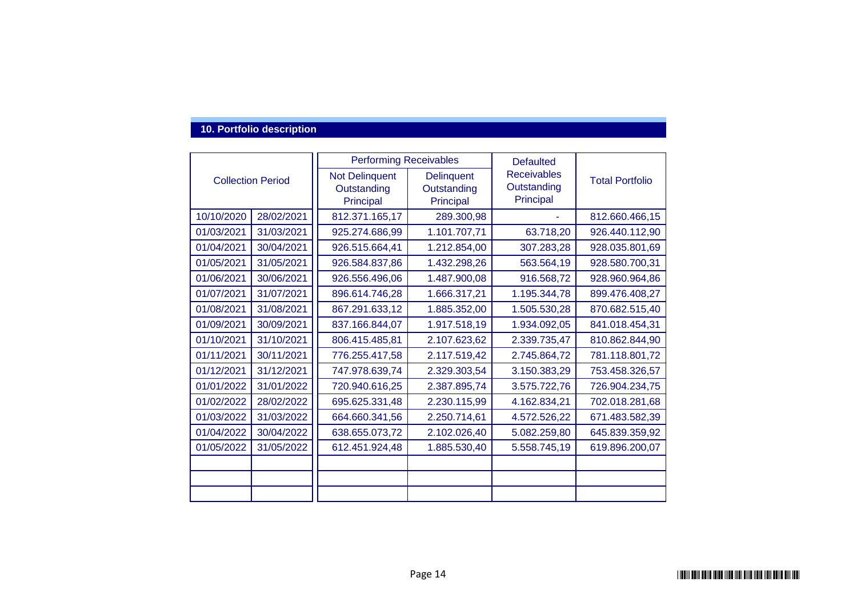### **10. Portfolio description**

|                          |                          | <b>Performing Receivables</b> |                   | <b>Defaulted</b>         | <b>Total Portfolio</b> |  |
|--------------------------|--------------------------|-------------------------------|-------------------|--------------------------|------------------------|--|
|                          | <b>Collection Period</b> | <b>Not Delinquent</b>         | <b>Delinguent</b> | <b>Receivables</b>       |                        |  |
|                          |                          | Outstanding                   | Outstanding       | Outstanding<br>Principal |                        |  |
|                          |                          | Principal                     | Principal         |                          |                        |  |
| 10/10/2020<br>28/02/2021 |                          | 812.371.165,17                | 289.300,98        |                          | 812.660.466,15         |  |
| 01/03/2021               | 31/03/2021               | 925.274.686,99                | 1.101.707,71      | 63.718,20                | 926.440.112,90         |  |
| 01/04/2021               | 30/04/2021               | 926.515.664,41                | 1.212.854,00      | 307.283,28               | 928.035.801,69         |  |
| 01/05/2021               | 31/05/2021               | 926.584.837,86                | 1.432.298,26      | 563.564,19               | 928.580.700,31         |  |
| 01/06/2021               | 30/06/2021               | 926.556.496,06                | 1.487.900,08      | 916.568,72               | 928.960.964,86         |  |
| 01/07/2021               | 31/07/2021               | 896.614.746,28                | 1.666.317,21      | 1.195.344,78             | 899.476.408,27         |  |
| 01/08/2021               | 31/08/2021               | 867.291.633,12                | 1.885.352,00      | 1.505.530,28             | 870.682.515,40         |  |
| 01/09/2021               | 30/09/2021               | 837.166.844,07                | 1.917.518,19      | 1.934.092,05             | 841.018.454,31         |  |
| 01/10/2021               | 31/10/2021               | 806.415.485,81                | 2.107.623,62      | 2.339.735,47             | 810.862.844,90         |  |
| 01/11/2021               | 30/11/2021               | 776.255.417,58                | 2.117.519,42      | 2.745.864,72             | 781.118.801,72         |  |
| 01/12/2021               | 31/12/2021               | 747.978.639,74                | 2.329.303,54      | 3.150.383,29             | 753.458.326,57         |  |
| 01/01/2022               | 31/01/2022               | 720.940.616,25                | 2.387.895,74      | 3.575.722,76             | 726.904.234,75         |  |
| 01/02/2022               | 28/02/2022               | 695.625.331,48                | 2.230.115,99      | 4.162.834,21             | 702.018.281,68         |  |
| 01/03/2022               | 31/03/2022               | 664.660.341,56                | 2.250.714,61      | 4.572.526,22             | 671.483.582,39         |  |
| 01/04/2022               | 30/04/2022               | 638.655.073,72                | 2.102.026,40      | 5.082.259,80             | 645.839.359,92         |  |
| 01/05/2022               | 31/05/2022               | 612.451.924,48                | 1.885.530,40      | 5.558.745,19             | 619.896.200,07         |  |
|                          |                          |                               |                   |                          |                        |  |
|                          |                          |                               |                   |                          |                        |  |
|                          |                          |                               |                   |                          |                        |  |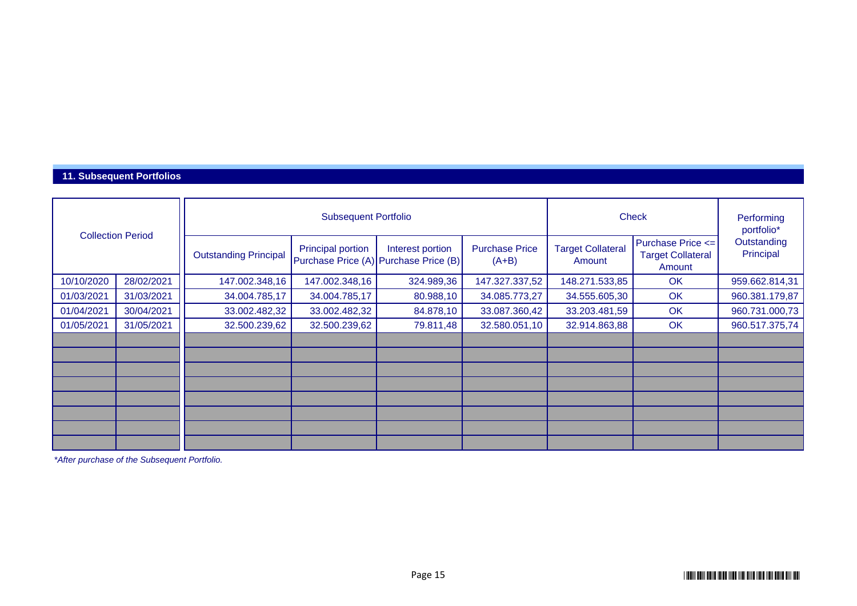#### **11. Subsequent Portfolios**

| <b>Collection Period</b> |            |                              | <b>Subsequent Portfolio</b> | <b>Check</b>                                              | Performing<br>portfolio*         |                                    |                                                         |                          |
|--------------------------|------------|------------------------------|-----------------------------|-----------------------------------------------------------|----------------------------------|------------------------------------|---------------------------------------------------------|--------------------------|
|                          |            | <b>Outstanding Principal</b> | <b>Principal portion</b>    | Interest portion<br>Purchase Price (A) Purchase Price (B) | <b>Purchase Price</b><br>$(A+B)$ | <b>Target Collateral</b><br>Amount | Purchase Price <=<br><b>Target Collateral</b><br>Amount | Outstanding<br>Principal |
| 10/10/2020               | 28/02/2021 | 147.002.348,16               | 147.002.348,16              | 324.989,36                                                | 147.327.337,52                   | 148.271.533,85                     | OK                                                      | 959.662.814,31           |
| 01/03/2021               | 31/03/2021 | 34.004.785,17                | 34.004.785,17               | 80.988,10                                                 | 34.085.773,27                    | 34.555.605,30                      | OK                                                      | 960.381.179,87           |
| 01/04/2021               | 30/04/2021 | 33.002.482,32                | 33.002.482,32               | 84.878,10                                                 | 33.087.360,42                    | 33.203.481,59                      | OK                                                      | 960.731.000,73           |
| 01/05/2021               | 31/05/2021 | 32.500.239,62                | 32.500.239,62               | 79.811,48                                                 | 32.580.051,10                    | 32.914.863,88                      | OK                                                      | 960.517.375,74           |
|                          |            |                              |                             |                                                           |                                  |                                    |                                                         |                          |
|                          |            |                              |                             |                                                           |                                  |                                    |                                                         |                          |
|                          |            |                              |                             |                                                           |                                  |                                    |                                                         |                          |
|                          |            |                              |                             |                                                           |                                  |                                    |                                                         |                          |
|                          |            |                              |                             |                                                           |                                  |                                    |                                                         |                          |
|                          |            |                              |                             |                                                           |                                  |                                    |                                                         |                          |
|                          |            |                              |                             |                                                           |                                  |                                    |                                                         |                          |
|                          |            |                              |                             |                                                           |                                  |                                    |                                                         |                          |

*\*After purchase of the Subsequent Portfolio.*